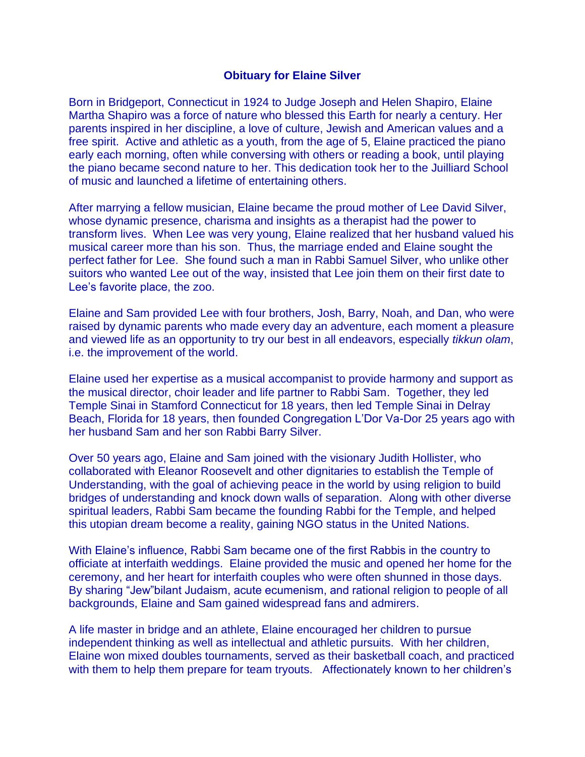## **Obituary for Elaine Silver**

Born in Bridgeport, Connecticut in 1924 to Judge Joseph and Helen Shapiro, Elaine Martha Shapiro was a force of nature who blessed this Earth for nearly a century. Her parents inspired in her discipline, a love of culture, Jewish and American values and a free spirit. Active and athletic as a youth, from the age of 5, Elaine practiced the piano early each morning, often while conversing with others or reading a book, until playing the piano became second nature to her. This dedication took her to the Juilliard School of music and launched a lifetime of entertaining others.

After marrying a fellow musician, Elaine became the proud mother of Lee David Silver, whose dynamic presence, charisma and insights as a therapist had the power to transform lives. When Lee was very young, Elaine realized that her husband valued his musical career more than his son. Thus, the marriage ended and Elaine sought the perfect father for Lee. She found such a man in Rabbi Samuel Silver, who unlike other suitors who wanted Lee out of the way, insisted that Lee join them on their first date to Lee's favorite place, the zoo.

Elaine and Sam provided Lee with four brothers, Josh, Barry, Noah, and Dan, who were raised by dynamic parents who made every day an adventure, each moment a pleasure and viewed life as an opportunity to try our best in all endeavors, especially *tikkun olam*, i.e. the improvement of the world.

Elaine used her expertise as a musical accompanist to provide harmony and support as the musical director, choir leader and life partner to Rabbi Sam. Together, they led Temple Sinai in Stamford Connecticut for 18 years, then led Temple Sinai in Delray Beach, Florida for 18 years, then founded Congregation L'Dor Va-Dor 25 years ago with her husband Sam and her son Rabbi Barry Silver.

Over 50 years ago, Elaine and Sam joined with the visionary Judith Hollister, who collaborated with Eleanor Roosevelt and other dignitaries to establish the Temple of Understanding, with the goal of achieving peace in the world by using religion to build bridges of understanding and knock down walls of separation. Along with other diverse spiritual leaders, Rabbi Sam became the founding Rabbi for the Temple, and helped this utopian dream become a reality, gaining NGO status in the United Nations.

With Elaine's influence, Rabbi Sam became one of the first Rabbis in the country to officiate at interfaith weddings. Elaine provided the music and opened her home for the ceremony, and her heart for interfaith couples who were often shunned in those days. By sharing "Jew"bilant Judaism, acute ecumenism, and rational religion to people of all backgrounds, Elaine and Sam gained widespread fans and admirers.

A life master in bridge and an athlete, Elaine encouraged her children to pursue independent thinking as well as intellectual and athletic pursuits. With her children, Elaine won mixed doubles tournaments, served as their basketball coach, and practiced with them to help them prepare for team tryouts. Affectionately known to her children's